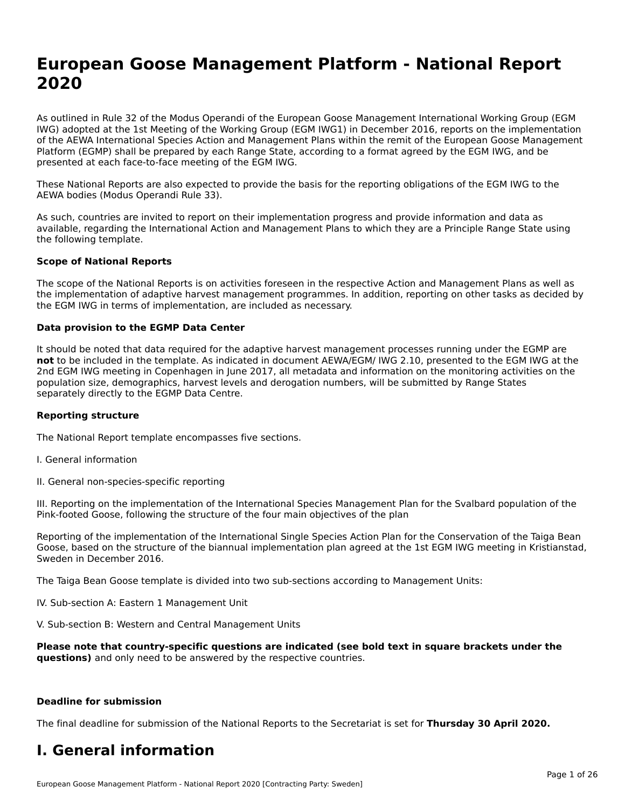## **European Goose Management Platform - National Report**European Goose Management Platform - National **Neport**<br>2020

As outlined in Rule 32 of the Modus Operandi of the European Goose Management International Working Group (EGM As buthled in Rule 32 of the Modus Operandi of the Lufopean Goose Management International Working Group (LGM<br>IWG) adopted at the 1st Meeting of the Working Group (EGM IWG1) in December 2016, reports on the implementation of the AEWA International Species Action and Management Plans within the remit of the European Goose Management Platform (EGMP) shall be prepared by each Range State, according to a format agreed by the EGM IWG, and be presented at each face-to-face meeting of the EGM IWG.

These National Reports are also expected to provide the basis for the reporting obligations of the EGM IWG to the AEWA bodies (Modus Operandi Rule 33).

As such, countries are invited to report on their implementation progress and provide information and data as<br>available, regarding the International Action and Management Plans to which they are a Principle Range State usi available, regarding the International Action and Management Plans to which they are a Principle Range State using the following template.

#### **Scope of National Reports**

The scope of the National Reports is on activities foreseen in the respective Action and Management Plans as well as The scope of the National Reports is on activities foreseen in the respective Action and Management Plans as well as<br>the implementation of adaptive harvest management programmes. In addition, reporting on other tasks as de the EGM IWG in terms of implementation, are included as necessary.

#### **Data provision to the EGMP Data Center**

It should be noted that data required for the adaptive harvest management processes running under the EGMP are **not** to be included in the template. As indicated in document AEWA/EGM/ IWG 2.10, presented to the EGM IWG at the 2nd EGM IWG meeting in Copenhagen in June 2017, all metadata and information on the monitoring activities on the population size, demographics, harvest levels and derogation numbers, will be submitted by Range States separately directly to the EGMP Data Centre.

#### **Reporting structure**

The National Report template encompasses five sections.

- I. General information
- II. General non-species-specific reporting

III. Reporting on the implementation of the International Species Management Plan for the Svalbard population of the

Reporting of the implementation of the International Single Species Action Plan for the Conservation of the Taiga Bean Reporting of the implementation of the international single species Action Fram for the conservation of the laiga beam<br>Goose, based on the structure of the biannual implementation plan agreed at the 1st EGM IWG meeting in

The Taiga Bean Goose template is divided into two sub-sections according to Management Units:

IV. Sub-section A: Eastern 1 Management Unit

V. Sub-section B: Western and Central Management Units

Please note that country-specific questions are indicated (see bold text in square brackets under the **questions)** and only need to be answered by the respective countries.

#### **Deadline for submission**

The final deadline for submission of the National Reports to the Secretariat is set for **Thursday 30 April 2020.**

#### **I. General information**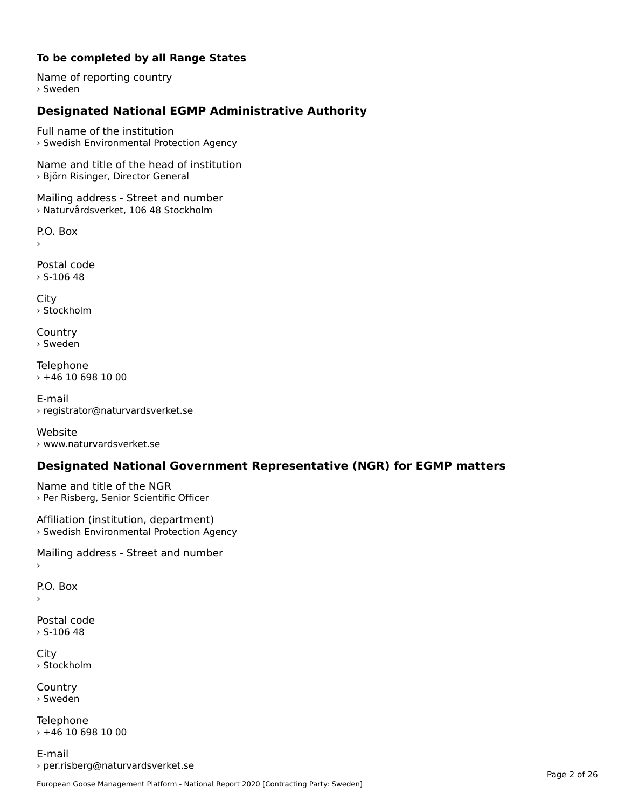#### **To be completed by all Range States**

Name of reporting country › Sweden

### **Designated National EGMP Administrative Authority**

Full name of the institution› Swedish Environmental Protection Agency

Name and title of the head of institution › Björn Risinger, Director General

Mailing address - Street and number › Naturvårdsverket, 106 48 Stockholm

P.O. Box

Postal code $>$  S-106 48

City › Stockholm

**Country** › Sweden

Telephone › +46 10 698 10 00

E-mail› registrator@naturvardsverket.se

Website › www.naturvardsverket.se

### **Designated National Government Representative (NGR) for EGMP matters**

Name and title of the NGR › Per Risberg, Senior Scientific Officer

Affiliation (institution, department) › Swedish Environmental Protection Agency

Mailing address - Street and number

P.O. Box

Postal code› S-106 48

City › Stockholm

**Country** › Sweden

Telephone  $+46$  10 698 10 00

E-mail› per.risberg@naturvardsverket.se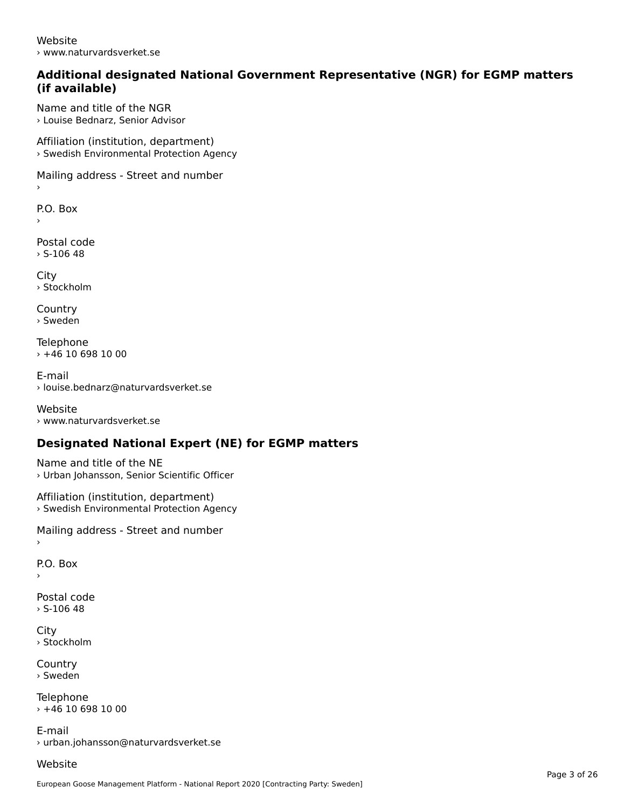Website› www.naturvardsverket.se

#### **Additional designated National Government Representative (NGR) for EGMP matters (if available)**

Name and title of the NGR› Louise Bednarz, Senior Advisor

Affiliation (institution, department) › Swedish Environmental Protection Agency

Mailing address - Street and number

 $\overline{P}$ ›

Postal code› S-106 48

**City** › Stockholm

**Country** › Sweden

Telephone  $\times$  +46 10 698 10 00

E-mail› louise.bednarz@naturvardsverket.se

Website › www.naturvardsverket.se

### **Designated National Expert (NE) for EGMP matters**

Name and title of the NE› Urban Johansson, Senior Scientific Officer

Affiliation (institution, department) › Swedish Environmental Protection Agency

Mailing address - Street and number

P.O. Box

›

Postal code $>$  S-106 48

City› Stockholm

**Country** › Sweden

**Telephone**  $+46$  10 698 10 00

E-mail› urban.johansson@naturvardsverket.se

Website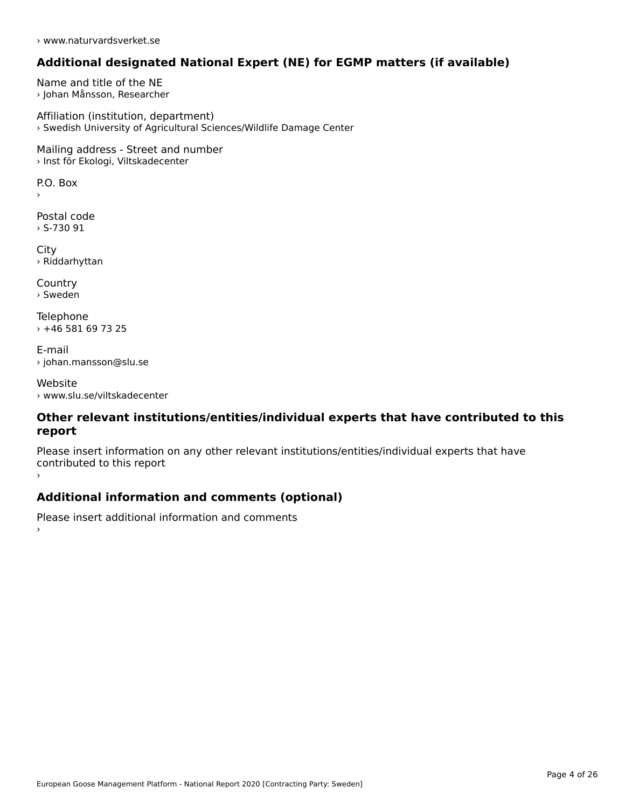› www.naturvardsverket.se

### **Additional designated National Expert (NE) for EGMP matters (if available)**

Name and title of the NE › Johan Månsson, Researcher

Affiliation (institution, department) › Swedish University of Agricultural Sciences/Wildlife Damage Center

Mailing address - Street and number › Inst för Ekologi, Viltskadecenter

 $\overline{P}$ ›

Postal code › S-730 91

City › Riddarhyttan

**Country** › Sweden

Telephone › +46 581 69 73 25

E-mail› johan.mansson@slu.se

Website› www.slu.se/viltskadecenter

#### **Other relevant institutions/entities/individual experts that have contributed to this report**report

Please insert information on any other relevant institutions/entities/individual experts that have continuated to this report

### **Additional information and comments (optional)**

Please insert additional information and comments ›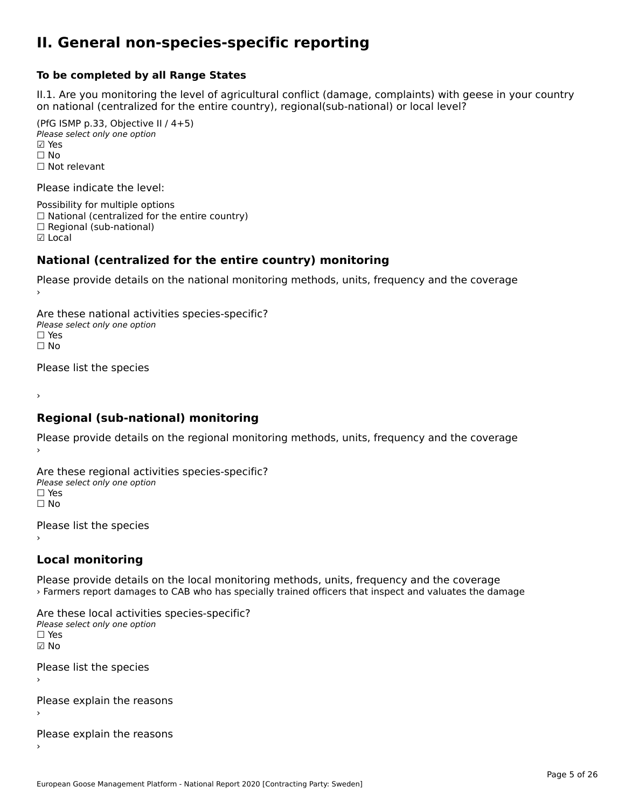#### **II. General non-species-specific reporting**

#### **To be completed by all Range States**

II.1. Are you monitoring the level of agricultural conflict (damage, complaints) with geese in your country n.i. Are you monitoring the lever or agricultural connict (damage, complaints) with g<br>on national (centralized for the entire country), regional(sub-national) or local level?

(PfG ISMP p.33, Objective II  $(4+5)$ ) Please select only one option ☑ Yes**☑ Yes**<br>□ No □ No<br>□ Not relevant

Please indicate the level:

Possibility for multiple options  $\Box$  National (centralized for the entire country)  $\Box$  Regional (sub-national) ☑ Local

#### **National (centralized for the entire country) monitoring**

Please provide details on the national monitoring methods, units, frequency and the coverage

Are these national activities species-specific? Please select only one optionPlease select only one option.<br>□ Yes ☐ No $\Box$  No

Please list the species

›

#### **Regional (sub-national) monitoring**

Please provide details on the regional monitoring methods, units, frequency and the coverage

Are these regional activities species-specific? ∩ne these regional activ<br>Please select only one option □ Yes<br>□ No

Please list the species ›

### **Local monitoring**

Please provide details on the local monitoring methods, units, frequency and the coverage › Farmers report damages to CAB who has specially trained officers that inspect and valuates the damage

Are these local activities species-specific? Please select only one optionriease<br>□ Yes ☑ NoPlease list the species

›

Please explain the reasons

Please explain the reasons ›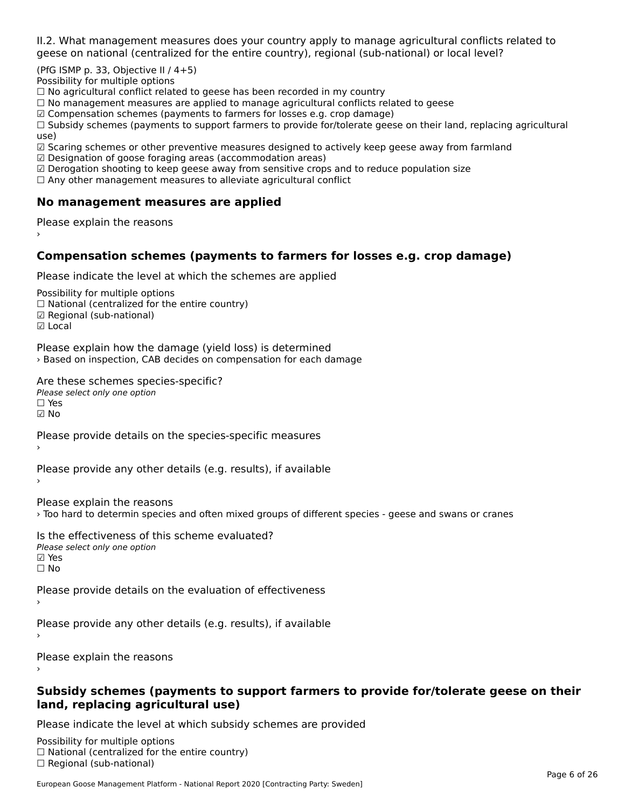II.2. What management measures does your country apply to manage agricultural conflicts related to

(PfG ISMP p. 33, Objective II  $/$  4+5)

Possibility for multiple options

™assibility for maltiple options<br>□ No agricultural conflict related to geese has been recorded in my country

 $\Box$  No management measures are applied to manage agricultural conflicts related to geese

☑ Compensation schemes (payments to farmers for losses e.g. crop damage)

a compensation schemes (payments to familers for losses e.g. crop damage)<br>[1] Subsidy schemes (payments to support farmers to provide for/tolerate geese on their land, replacing agricultural use)

use)<br>☑ Scaring schemes or other preventive measures designed to actively keep geese away from farmland

 $\boxtimes$  Designation of goose foraging areas (accommodation areas)

□ Designation of goose foraging areas (accommodation areas)<br>□ Derogation shooting to keep geese away from sensitive crops and to reduce population size

 $\Box$  Any other management measures to alleviate agricultural conflict

### **No management measures are applied**

Please explain the reasons ›

### **Compensation schemes (payments to farmers for losses e.g. crop damage)**

Please indicate the level at which the schemes are applied

Possibility for multiple options rossibility for multiple options<br>□ National (centralized for the entire country) □ National (centralized io<br>☑ Regional (sub-national) ⊡ ∩egio<br>☑ Local

Please explain how the damage (yield loss) is determined riedse explain now the damage (yield loss) is determined<br>> Based on inspection, CAB decides on compensation for each damage

Are these schemes species-specific? ∩ne these senemes spee<br>Please select only one option

☑ No

Please provide details on the species-specific measures

Please provide any other details (e.g. results), if available

Please explain the reasons

› Too hard to determin species and often mixed groups of different species - geese and swans or cranes

Is the effectiveness of this scheme evaluated?Please select only one option☑ Yes☐ No

Please provide details on the evaluation of effectiveness

Please provide any other details (e.g. results), if available

Please explain the reasons

#### **Subsidy schemes (payments to support farmers to provide for/tolerate geese on their land, replacing agricultural use)**

Please indicate the level at which subsidy schemes are provided

Possibility for multiple options rossibility for multiple options<br>□ National (centralized for the entire country) □ Regional (centranzed to<br>□ Regional (sub-national)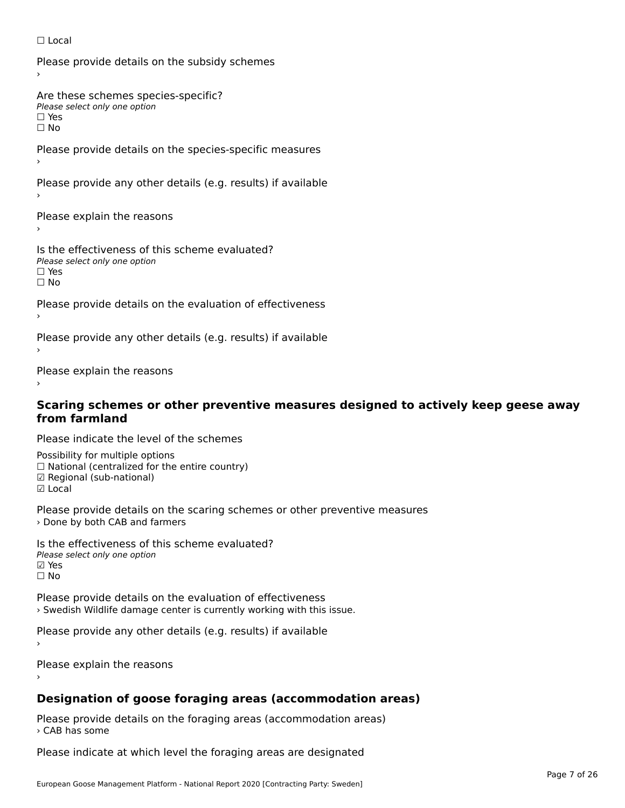#### ☐ Local

Please provide details on the subsidy schemes

Are these schemes species-specific?∩ne these senemes spee<br>Please select only one option

□ Yes<br>□ No

Please provide details on the species-specific measures

Please provide any other details (e.g. results) if available

Please explain the reasons

Is the effectiveness of this scheme evaluated? □ CITC CITCCLIVERESS OF C<br>Please select only one option ים וכ∍<br>⊟ No

Please provide details on the evaluation of effectiveness

Please provide any other details (e.g. results) if available

Please explain the reasons

# **Scaring schemes or other preventive measures designed to actively keep geese away from farmland**

Please indicate the level of the schemes

Possibility for multiple options ™assibility for multiple options<br>□ National (centralized for the entire country) □ National (centralized io<br>☑ Regional (sub-national) ☑ Local

Please provide details on the scaring schemes or other preventive measures › Done by both CAB and farmers

Is the effectiveness of this scheme evaluated?Please select only one option☑ Yes☐ No

Please provide details on the evaluation of effectiveness› Swedish Wildlife damage center is currently working with this issue.

Please provide any other details (e.g. results) if available

Please explain the reasons

### **Designation of goose foraging areas (accommodation areas)**

Please provide details on the foraging areas (accommodation areas) › CAB has some

Please indicate at which level the foraging areas are designated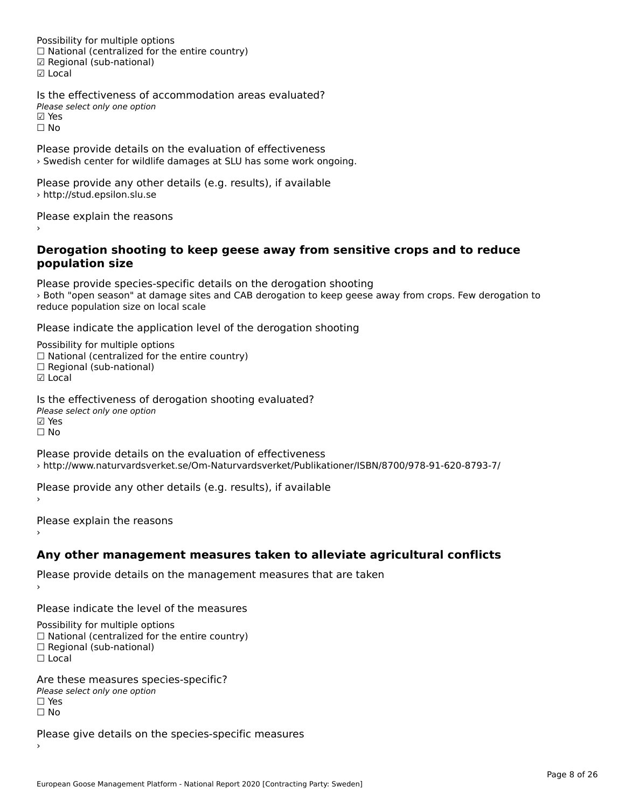Possibility for multiple options rossibility for multiple options<br>□ National (centralized for the entire country) □ National (centralized io<br>☑ Regional (sub-national) ☑ Local

Is the effectiveness of accommodation areas evaluated?Please select only one option riease<br>☑ Yes ☐ No

Please provide details on the evaluation of effectiveness › Swedish center for wildlife damages at SLU has some work ongoing.

Please provide any other details (e.g. results), if available › http://stud.epsilon.slu.se

Please explain the reasons

#### **Derogation shooting to keep geese away from sensitive crops and to reduce population size**population size

Please provide species-specific details on the derogation shooting riedse provide species-specific details on the derogation shooting<br>> Both "open season" at damage sites and CAB derogation to keep geese away from crops. Few derogation to reduce population size on local scale

Please indicate the application level of the derogation shooting

Possibility for multiple options гозывниу тог нингріе орноть<br>□ National (centralized for the entire country)  $\Box$  Regional (sub-national)

☑ Local

Is the effectiveness of derogation shooting evaluated? Please select only one option ☑ Yes☐ No

Please provide details on the evaluation of effectiveness › http://www.naturvardsverket.se/Om-Naturvardsverket/Publikationer/ISBN/8700/978-91-620-8793-7/

Please provide any other details (e.g. results), if available

Please explain the reasons

#### **Any other management measures taken to alleviate agricultural conflicts**

Please provide details on the management measures that are taken ›

Please indicate the level of the measures

Possibility for multiple options

rossibility for multiple options<br>□ National (centralized for the entire country)

□ National (centralized io<br>□ Regional (sub-national)

☐ Local

Are these measures species-specific?ric criese measures spe<br>Please select only one option ☐ Yes☐ No

Please give details on the species-specific measures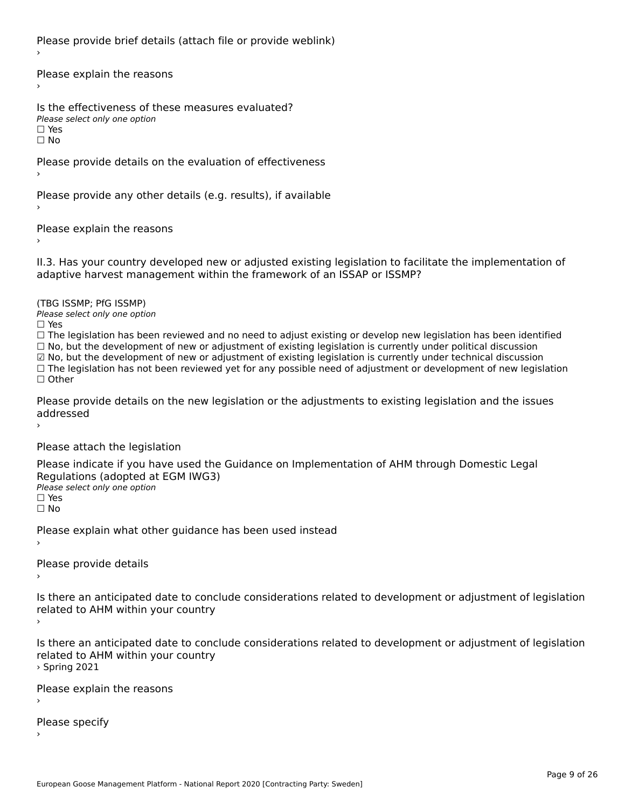Please provide brief details (attach file or provide weblink)

Please explain the reasons›

Is the effectiveness of these measures evaluated?Please select only one option☐ Yes☐ No

Please provide details on the evaluation of effectiveness

Please provide any other details (e.g. results), if available

Please explain the reasons›

II.3. Has your country developed new or adjusted existing legislation to facilitate the implementation of

(TBG ISSMP; PfG ISSMP)

Please select only one option ☐ Yes

☐ The legislation has been reviewed and no need to adjust existing or develop new legislation has been identified ☐ No, but the development of new or adjustment of existing legislation is currently under political discussion ☑ No, but the development of new or adjustment of existing legislation is currently under technical discussion $\boxtimes$  No, but the development of new or adjustment of existing legislation is currently under technical discussion ⊠ No, but the development of new or adjustment of existing regislation is currently under technical discussion<br>□ The legislation has not been reviewed yet for any possible need of adjustment or development of new legislat

Please provide details on the new legislation or the adjustments to existing legislation and the issues riease piu<br>seddressed ›

Please attach the legislation

Please indicate if you have used the Guidance on Implementation of AHM through Domestic Legal Piease indicate if you have used the<br>Regulations (adopted at EGM IWG3) Please select only one option ☐ Yes☐ No

Please explain what other guidance has been used instead

Please provide details

Is there an anticipated date to conclude considerations related to development or adjustment of legislation Proced to Arm within your country

Is there an anticipated date to conclude considerations related to development or adjustment of legislation is there an anticipated date to cont<br>related to AHM within your country › Spring 2021

Please explain the reasons

Please specify›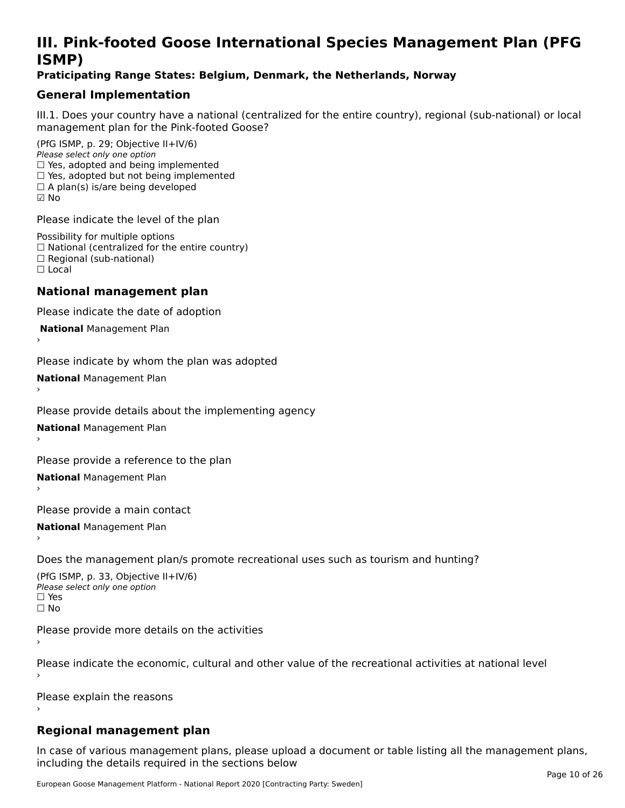### **III. Pink-footed Goose International Species Management Plan (PFG**III. FIIIN-IUULEU GUUSE IIILEI II**atiunai Species Management Fian (FTG**<br>ISMD)

#### **Praticipating Range States: Belgium, Denmark, the Netherlands, Norway**

### **General Implementation**

III.1. Does your country have a national (centralized for the entire country), regional (sub-national) or local

(PfG ISMP, p. 29; Objective II+IV/6) Please select only one option *riease select only one option*<br>□ Yes, adopted and being implemented  $\Box$  res, adopted and being implemented<br> $\Box$  Yes, adopted but not being implemented  $\Box$  A plan(s) is/are being developed ☑ No

Please indicate the level of the plan

Possibility for multiple options rossibility for multiple options<br>□ National (centralized for the entire country) □ National (centralized io<br>□ Regional (sub-national) ☐ Local

#### **National management plan**

Please indicate the date of adoption

 **National** Management Plan

›

Please indicate by whom the plan was adopted

**National** Management Plan ›

Please provide details about the implementing agency

**National** Management Plan ›

Please provide a reference to the plan

**National** Management Plan ›

Please provide a main contact

**National** Management Plan ›

Does the management plan/s promote recreational uses such as tourism and hunting?

(PfG ISMP, p. 33, Objective II+IV/6) Please select only one optionPlease select only one option  $\square$  Yes ☐ No

Please provide more details on the activities

Please indicate the economic, cultural and other value of the recreational activities at national level

Please explain the reasons

### **Regional management plan**

In case of various management plans, please upload a document or table listing all the management plans,in case or various management plans, please uploa<br>in the direct below the its required in the sections below including the details required in the sections below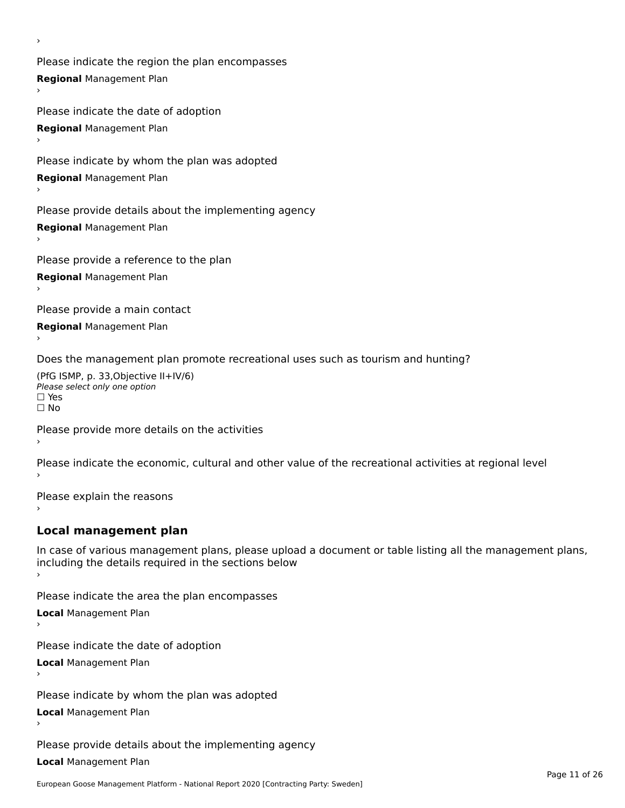Please indicate the region the plan encompasses **Regional** Management Plan

Please indicate the date of adoption **Regional** Management Plan ›

Please indicate by whom the plan was adopted

**Regional** Management Plan

›

Please provide details about the implementing agency

**Regional** Management Plan

Please provide a reference to the plan

**Regional** Management Plan

Please provide a main contact

**Regional** Management Plan

Does the management plan promote recreational uses such as tourism and hunting?

(PfG ISMP, p. 33,Objective II+IV/6) ∩∩ וויוכו פון<br>Please select only one option<br>□ Yes □ Yes<br>□ No

Please provide more details on the activities

Please indicate the economic, cultural and other value of the recreational activities at regional level

Please explain the reasons ›

### **Local management plan**

In case of various management plans, please upload a document or table listing all the management plans, In case of various management plans, please uploa<br>including the details required in the sections below

Please indicate the area the plan encompasses

**Local** Management Plan

Please indicate the date of adoption

**Local** Management Plan›

Please indicate by whom the plan was adopted

**Local** Management Plan

Please provide details about the implementing agency

**Local** Management Plan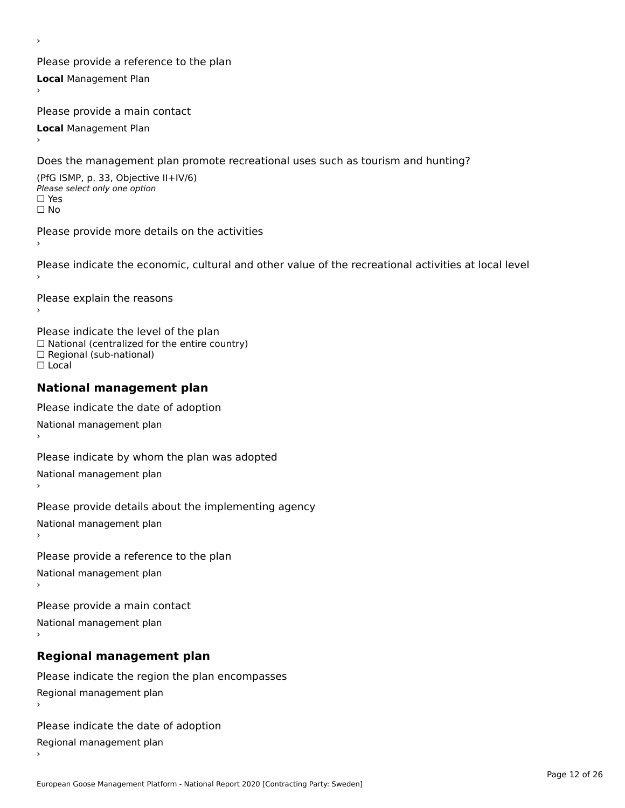Please provide a reference to the plan **Local** Management Plan

Please provide a main contact

**Local** Management Plan

›

Does the management plan promote recreational uses such as tourism and hunting?

(PfG ISMP, p. 33, Objective II+IV/6) Please select only one option☐ Yes☐ No

Please provide more details on the activities

Please indicate the economic, cultural and other value of the recreational activities at local level

Please explain the reasons ›

Please indicate the level of the plan ∩ease marcate the lever of the plan<br>□ National (centralized for the entire country) □ National (centralized io<br>□ Regional (sub-national) ☐ Local

#### **National management plan**

Please indicate the date of adoption National management plan

Please indicate by whom the plan was adopted National management plan ›

Please provide details about the implementing agency

National management plan

Please provide a reference to the plan

National management plan

Please provide a main contact

National management plan

### **Regional management plan**

Please indicate the region the plan encompasses Regional management plan

Please indicate the date of adoption

Regional management plan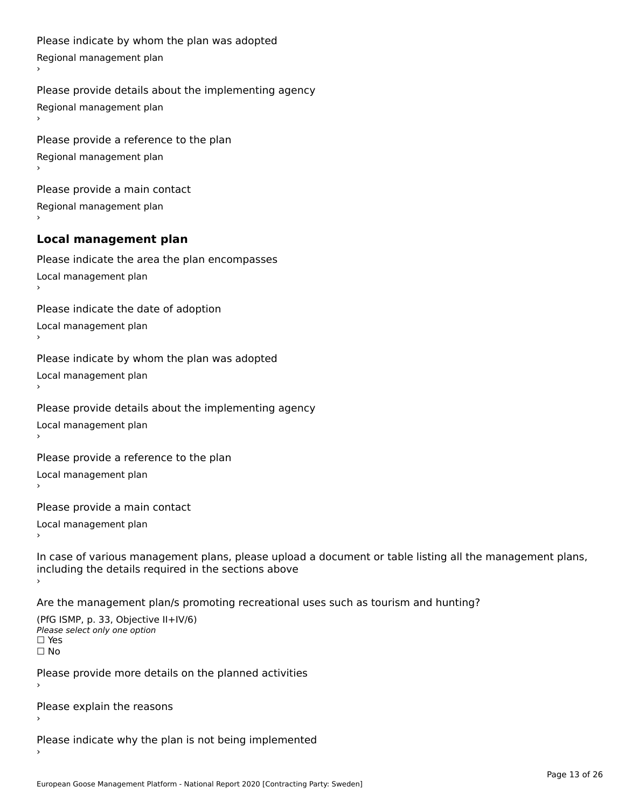```
Please indicate by whom the plan was adopted Regional management plan
Please provide details about the implementing agency Regional management plan
Please provide a reference to the plan Regional management plan
Please provide a main contact Regional management plan
Local management plan
Please indicate the area the plan encompasses Local management plan›Please indicate the date of adoption Local management plan١,
Please indicate by whom the plan was adopted Local management plan›Please provide details about the implementing agency Local management plan١,
Please provide a reference to the plan Local management plan›Please provide a main contact Local management plan١,
In case of various management plans, please upload a document or table listing all the management plans,in case or various management plans, please upload
including the details required in the sections above
Are the management plan/s promoting recreational uses such as tourism and hunting?
```

```
(PfG ISMP, p. 33, Objective II+IV/6)
Please select only one option☐ Yes☐ No
```
Please provide more details on the planned activities

Please explain the reasons›

Please indicate why the plan is not being implemented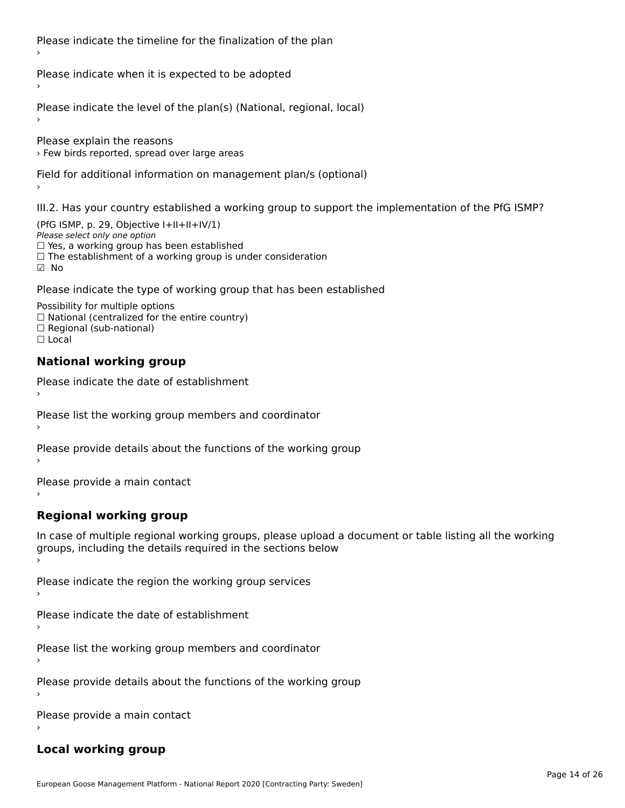Please indicate the timeline for the finalization of the plan

Please indicate when it is expected to be adopted

Please indicate the level of the plan(s) (National, regional, local)

Please explain the reasons › Few birds reported, spread over large areas

Field for additional information on management plan/s (optional)

III.2. Has your country established a working group to support the implementation of the PfG ISMP?

(PfG ISMP, p. 29, Objective I+II+II+IV/1)Please select only one option □ Yes, a working group has been established □ Tes, a working group has been established<br>□ The establishment of a working group is under consideration

Please indicate the type of working group that has been established

Possibility for multiple options  $\Box$  National (centralized for the entire country)  $\Box$  Regional (sub-national)  $\Box$  Local

#### **National working group**

›

Please indicate the date of establishment

Please list the working group members and coordinator ›

Please provide details about the functions of the working group ›

Please provide a main contact ›

**Regional working group**

In case of multiple regional working groups, please upload a document or table listing all the working In case of multiple regional working groups, please upload a<br>groups, including the details required in the sections below

Please indicate the region the working group services ›

Please indicate the date of establishment ›

Please list the working group members and coordinator ›

Please provide details about the functions of the working group ›

Please provide a main contact ›

### **Local working group**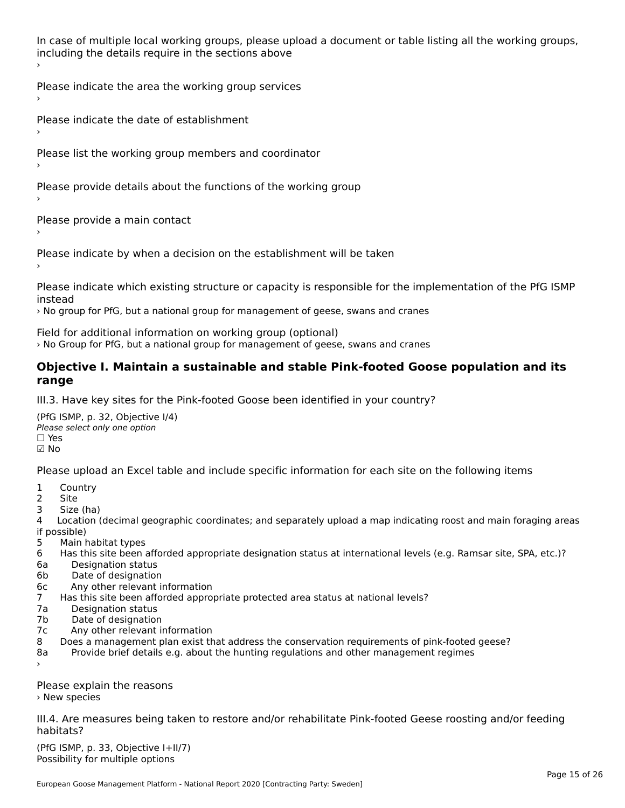In case of multiple local working groups, please upload a document or table listing all the working groups, in case of multiple local working groups, please up ›

Please indicate the area the working group services ›

Please indicate the date of establishment ›

Please list the working group members and coordinator ›

Please provide details about the functions of the working group ›

Please provide a main contact ›

Please indicate by when a decision on the establishment will be taken

Please indicate which existing structure or capacity is responsible for the implementation of the PfG ISMP

› No group for PfG, but a national group for management of geese, swans and cranes

Field for additional information on working group (optional)

› No Group for PfG, but a national group for management of geese, swans and cranes

#### **Objective I. Maintain a sustainable and stable Pink-footed Goose population and its range**range

III.3. Have key sites for the Pink-footed Goose been identified in your country?

(PfG ISMP, p. 32, Objective I/4)Please select only one option ☐ Yes☑ No

Please upload an Excel table and include specific information for each site on the following items

- $1 \quad \alpha$
- 2 Site
- 2 Site<br>3 Size (ha)

د حدد una<br>4 Location (decimal geographic coordinates; and separately upload a map indicating roost and main foraging areas 4 Location<br>if possible)

- 5 Main habitat types
- 6 Has this site been afforded appropriate designation status at international levels (e.g. Ramsar site, SPA, etc.)? 6. Bestweetter status
- 6a Designation status<br>6b Date of designation
- 
- 6c Any other relevant information
- 7 Has this site been afforded appropriate protected area status at national levels? 7a Designation status
- 7a Designation status<br>7b Date of designation
- 
- 7c Any other relevant information
- 8 Does a management plan exist that address the conservation requirements of pink-footed geese?
- 8a Provide brief details e.g. about the hunting regulations and other management regimes ›

Please explain the reasons › New species

III.4. Are measures being taken to restore and/or rehabilitate Pink-footed Geese roosting and/or feeding habitats?

 $(PCI GMP, p. 33, Qb)$  is the I+II/7) Possibility for multiple optionsPossibility for multiple options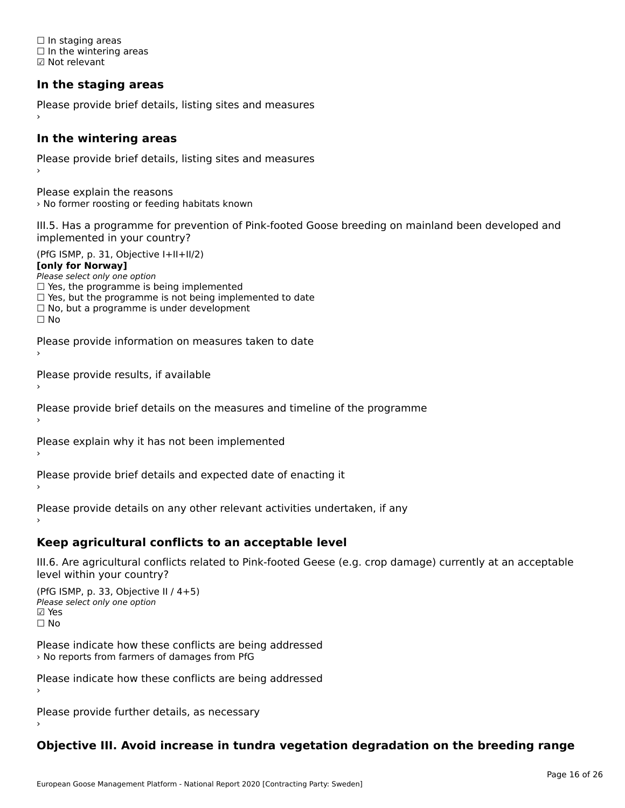☐ In staging areas □ in staging areas<br>□ In the wintering areas ☑ Not relevant

### **In the staging areas**

Please provide brief details, listing sites and measures ›

#### **In the wintering areas**

Please provide brief details, listing sites and measures ›

Please explain the reasons › No former roosting or feeding habitats known

III.5. Has a programme for prevention of Pink-footed Goose breeding on mainland been developed and implemented in your country?

(PfG ISMP, p. 31, Objective I+II+II/2)

**[only for Norway]**

Please select only one option riease select only one option<br>□ Yes, the programme is being implemented

 $\Box$  ies, the programme is being implemented to date  $\Box$  Yes, but the programme is not being implemented to date

 $\Box$  No, but a programme is under development

Please provide information on measures taken to date

Please provide results, if available

Please provide brief details on the measures and timeline of the programme

Please explain why it has not been implemented

Please provide brief details and expected date of enacting it

Please provide details on any other relevant activities undertaken, if any›

**Keep agricultural conflicts to an acceptable level**

III.6. Are agricultural conflicts related to Pink-footed Geese (e.g. crop damage) currently at an acceptable

(PfG ISMP, p. 33, Objective II  $(4+5)$ ) Please select only one option ☑ Yes☐ No

Please indicate how these conflicts are being addressed

Please indicate how these conflicts are being addressed›

Please provide further details, as necessary ›

### **Objective III. Avoid increase in tundra vegetation degradation on the breeding range**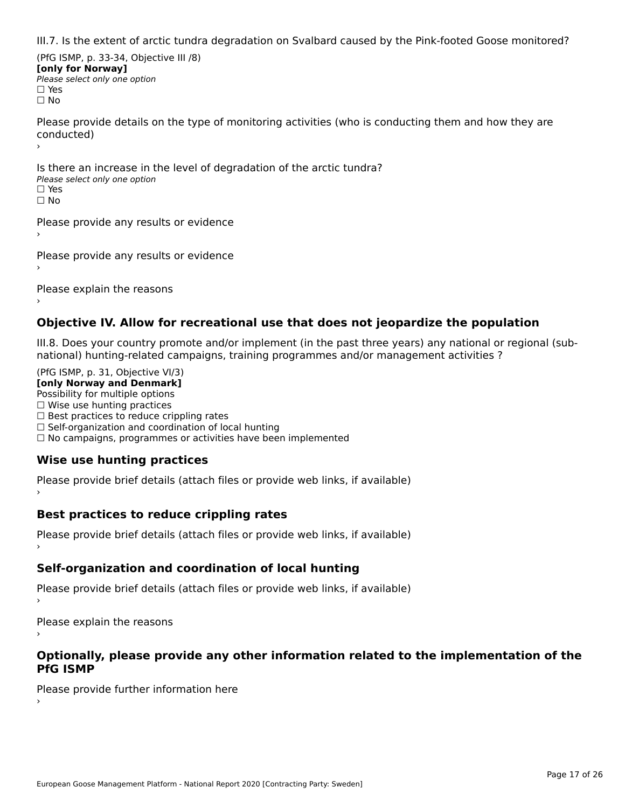III.7. Is the extent of arctic tundra degradation on Svalbard caused by the Pink-footed Goose monitored?

(PfG ISMP, p. 33-34, Objective III /8) **[only for Norway] Please select only one option** □ Yes<br>□ No

Please provide details on the type of monitoring activities (who is conducting them and how they are riease prov ›

Is there an increase in the level of degradation of the arctic tundra? □ CitCre dir increduction<br>Please select only one option □ Yes<br>□ No

Please provide any results or evidence

Please provide any results or evidence

Please explain the reasons

›

#### **Objective IV. Allow for recreational use that does not jeopardize the population**

III.8. Does your country promote and/or implement (in the past three years) any national or regional (sub $m.0.168$  your country promove and/or miplement (in the past time years) any national or

(PfG ISMP, p. 31, Objective VI/3) **[only Norway and Denmark]** Possibility for multiple options ☐ Wise use hunting practices  $\Box$  wise use numing practices<br> $\Box$  Best practices to reduce crippling rates □ Best practices to reduce crippinig rates<br>□ Self-organization and coordination of local hunting □ Sen-organization and coordination or local nunting<br>□ No campaigns, programmes or activities have been implemented

### **Wise use hunting practices**

Please provide brief details (attach files or provide web links, if available) ›

### **Best practices to reduce crippling rates**

Please provide brief details (attach files or provide web links, if available)

### **Self-organization and coordination of local hunting**

Please provide brief details (attach files or provide web links, if available)

Please explain the reasons

#### **Optionally, please provide any other information related to the implementation of the PfG ISMP**

Please provide further information here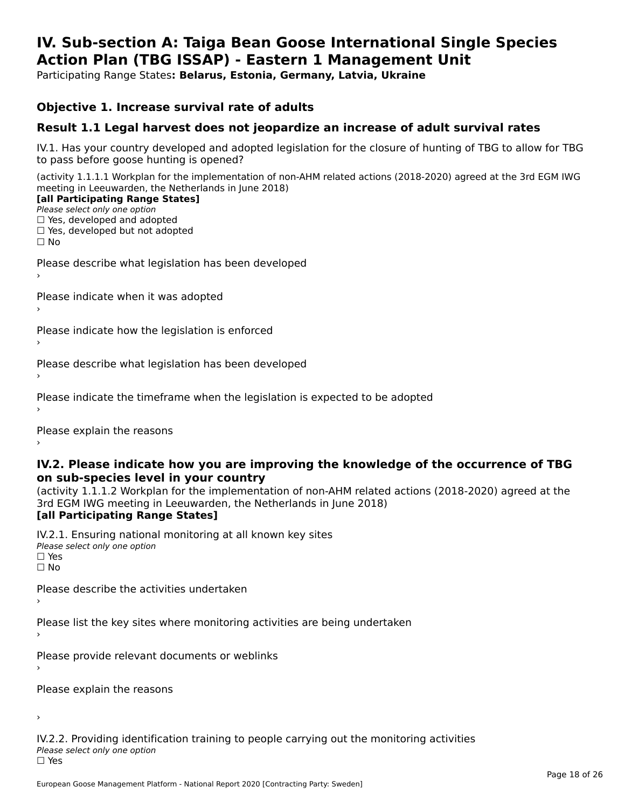#### **IV. Sub-section A: Taiga Bean Goose International Single Species Action Plan (TBG ISSAP) - Eastern 1 Management UnitAction Plan (TBG ISSAP) - Eastern 1 Management Unit**

Participating Range States**: Belarus, Estonia, Germany, Latvia, Ukraine** 

### **Objective 1. Increase survival rate of adults**

### **Result 1.1 Legal harvest does not jeopardize an increase of adult survival rates**

IV.1. Has your country developed and adopted legislation for the closure of hunting of TBG to allow for TBG IV.1. Thas your country developed and add<br>to pass before goose hunting is opened?

(activity 1.1.1.1 Workplan for the implementation of non-AHM related actions (2018-2020) agreed at the 3rd EGM IWG meeting in Leeuwarden, the Netherlands in June 2018) **[all Participating Range States]**

#### [all Participating Range States]

Please select only one option ☐ Yes, developed and adopted

☐ Yes, developed but not adopted

 $\Box$  ies, developed but not adopted

Please describe what legislation has been developed

Please indicate when it was adopted

Please indicate how the legislation is enforced

Please describe what legislation has been developed

Please indicate the timeframe when the legislation is expected to be adopted

Please explain the reasons

#### **IV.2. Please indicate how you are improving the knowledge of the occurrence of TBG on sub-species level in your country**on sub-species level in your country

on sub-species fever in your country<br>(activity 1.1.1.2 Workplan for the implementation of non-AHM related actions (2018-2020) agreed at the **Brd EGM IWG meeting in Leeuwarden, the Netherlands in June 2018)** 

#### [all Participating Range States]

IV.2.1. Ensuring national monitoring at all known key sites <del>■ Western Chroning</del> Hational<br>Please select only one option  $\square$  Yes ☐ No

Please describe the activities undertaken

Please list the key sites where monitoring activities are being undertaken

Please provide relevant documents or weblinks

Please explain the reasons

›

IV.2.2. Providing identification training to people carrying out the monitoring activities <del>■ Western Fortung</del> Recrement<br>Please select only one option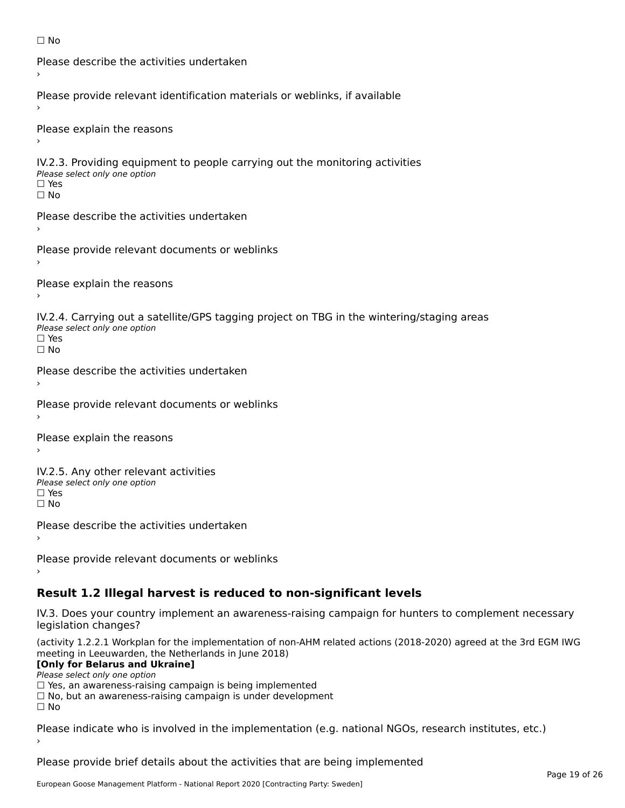```
☐ No
```

```
Please describe the activities undertaken›Please provide relevant identification materials or weblinks, if available
Please explain the reasons
IV.2.3. Providing equipment to people carrying out the monitoring activities
Please select only one option
☐ Yes□ Yes<br>□ No
Please describe the activities undertaken›Please provide relevant documents or weblinks
Please explain the reasons
IV.2.4. Carrying out a satellite/GPS tagging project on TBG in the wintering/staging areas
TV:∠:→: Carrying out a Se<br>Please select only one option
□ Yes<br>□ No
Please describe the activities undertaken›Please provide relevant documents or weblinks
Please explain the reasons
IV.2.5. Any other relevant activities
Please select only one option
☐ Yes□ Yes<br>□ No
Please describe the activities undertaken›Please provide relevant documents or weblinks
Result 1.2 Illegal harvest is reduced to non-significant levels
```
IV.3. Does your country implement an awareness-raising campaign for hunters to complement necessary rv.5. Does your court<br>legislation changes?

(activity 1.2.2.1 Workplan for the implementation of non-AHM related actions (2018-2020) agreed at the 3rd EGM IWG meeting in Leeuwarden, the Netherlands in June 2018)

### **[Only for Belarus and Ukraine]**

**LOTTLY TOT Detailed and O**<br>Please select only one option

riease select only one option<br>□ Yes, an awareness-raising campaign is being implemented<br>□ Yes, an awareness-raising campaign is under development

□ No, but an awareness-raising campaign is under development<br>□ N。

Please indicate who is involved in the implementation (e.g. national NGOs, research institutes, etc.)

Please provide brief details about the activities that are being implemented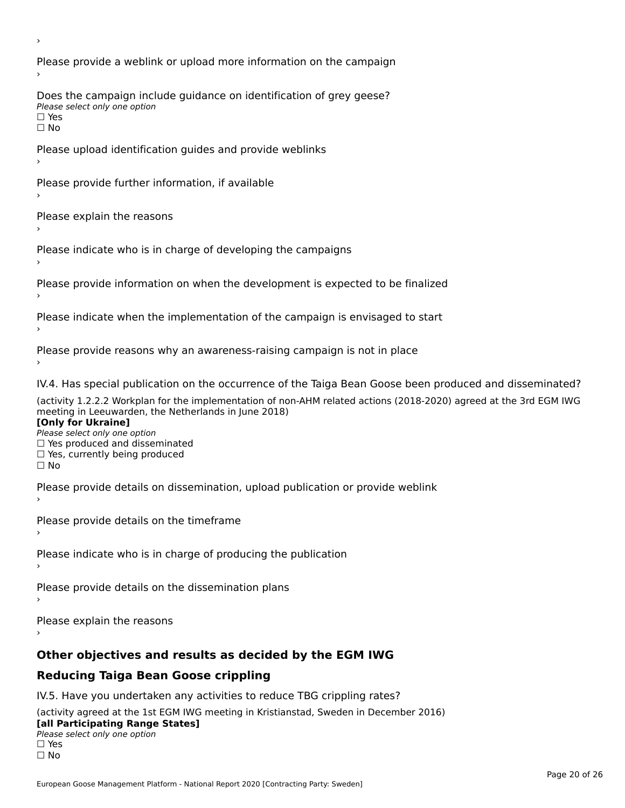Please provide a weblink or upload more information on the campaign Does the campaign include guidance on identification of grey geese? Please select only one option<br>□ Yes □ Yes<br>□ No Please upload identification guides and provide weblinks Please provide further information, if available Please explain the reasons Please indicate who is in charge of developing the campaigns Please provide information on when the development is expected to be finalized Please indicate when the implementation of the campaign is envisaged to start Please provide reasons why an awareness-raising campaign is not in place IV.4. Has special publication on the occurrence of the Taiga Bean Goose been produced and disseminated? (activity 1.2.2.2 Workplan for the implementation of non-AHM related actions (2018-2020) agreed at the 3rd EGM IWG **[Only for Ukraine] □ Yes produced and disseminated**<br>Please select only one option  $\Box$  ies produced and disseminated  $\Box$  ies, currently being produced Please provide details on dissemination, upload publication or provide weblink Please provide details on the timeframe Please indicate who is in charge of producing the publication Please provide details on the dissemination plans Please explain the reasons **Other objectives and results as decided by the EGM IWG Reducing Taiga Bean Goose crippling** IV.5. Have you undertaken any activities to reduce TBG crippling rates? (activity agreed at the 1st EGM IWG meeting in Kristianstad, Sweden in December 2016)

#### **[all Participating Range States]**[all Participating Range States]

**Lan T articipating Range**<br>Please select only one option

□ Yes<br>□ No

›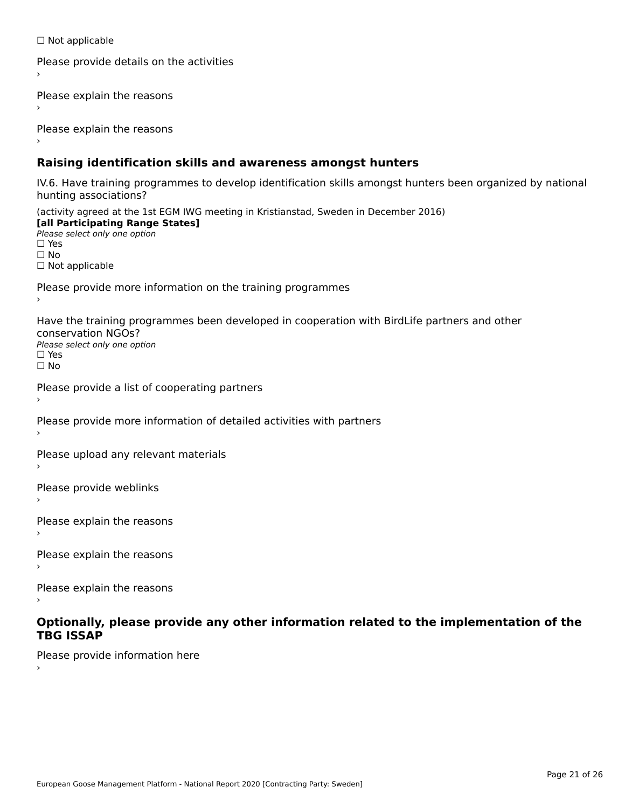☐ Not applicable

```
Please provide details on the activities
```
Please explain the reasons

Please explain the reasons

### **Raising identification skills and awareness amongst hunters**

IV.6. Have training programmes to develop identification skills amongst hunters been organized by national rv.o. riave training pro<br>hunting associations?

(activity agreed at the 1st EGM IWG meeting in Kristianstad, Sweden in December 2016) **[all Participating Range States]**[all Participating Range States] **Lan Tarticipating Range**<br>Please select only one option ☐ Yes☐ No□ Not applicable

Please provide more information on the training programmes

Have the training programmes been developed in cooperation with BirdLife partners and other conservation NGOs?Please select only one option☐ Yes☐ No

```
Please provide a list of cooperating partners
```
Please provide more information of detailed activities with partners

Please upload any relevant materials

Please provide weblinks

Please explain the reasons

Please explain the reasons›

Please explain the reasons

#### **Optionally, please provide any other information related to the implementation of the TBG ISSAPTBG ISSAP**

Please provide information here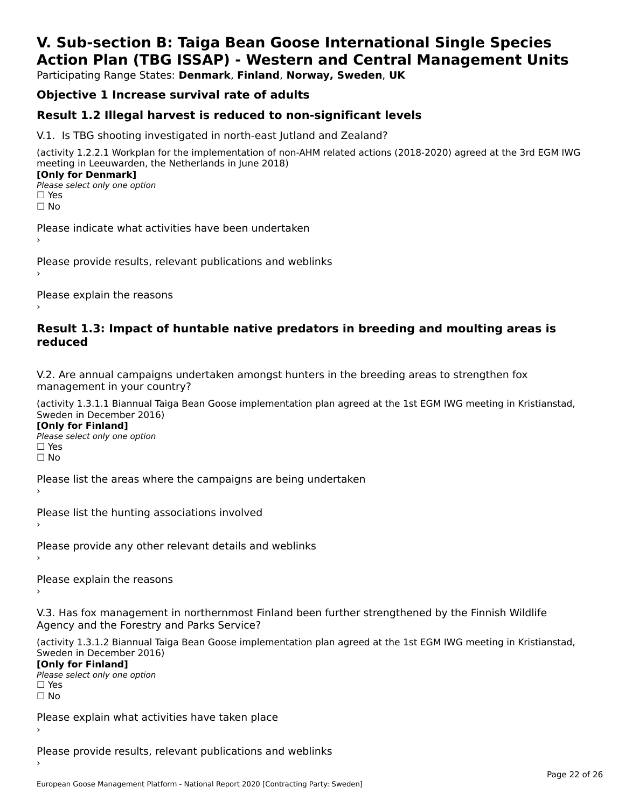## **V. Sub-section B: Taiga Bean Goose International Single SpeciesAction Plan (TBG ISSAP) - Western and Central Management Units**

Participating Range States: **Denmark**, **Finland**, **Norway, Sweden**, **UK**

### **Objective 1 Increase survival rate of adults**

### **Result 1.2 Illegal harvest is reduced to non-significant levels**

V.1. Is TBG shooting investigated in north-east Jutland and Zealand?

(activity 1.2.2.1 Workplan for the implementation of non-AHM related actions (2018-2020) agreed at the 3rd EGM IWG meeting in Leeuwarden, the Netherlands in June 2018) **[Only for Denmark] LOTTLY TOT DETITIONS**<br>Please select only one option

*riease*<br>□ Yes<br>□ No

Please indicate what activities have been undertaken›

Please provide results, relevant publications and weblinks ›

Please explain the reasons

#### **Result 1.3: Impact of huntable native predators in breeding and moulting areas is reduced**

V.2. Are annual campaigns undertaken amongst hunters in the breeding areas to strengthen fox v.z. Are annual campaigns und<br>management in your country?

(activity 1.3.1.1 Biannual Taiga Bean Goose implementation plan agreed at the 1st EGM IWG meeting in Kristianstad, Sweden in December 2016)

**[Only for Finland]** Please select only one optionriease<br>□ Yes □ Yes<br>□ No

Please list the areas where the campaigns are being undertaken

Please list the hunting associations involved

Please provide any other relevant details and weblinks ›

Please explain the reasons›

V.3. Has fox management in northernmost Finland been further strengthened by the Finnish Wildlife v.5. Has fox management in northernmost F<br>Agency and the Forestry and Parks Service?

(activity 1.3.1.2 Biannual Taiga Bean Goose implementation plan agreed at the 1st EGM IWG meeting in Kristianstad, Sweden in December 2016) Sweden in December 2016)

[Only for Finland]

**Please select only one option** □ Yes<br>□ No

Please explain what activities have taken place

Please provide results, relevant publications and weblinks ›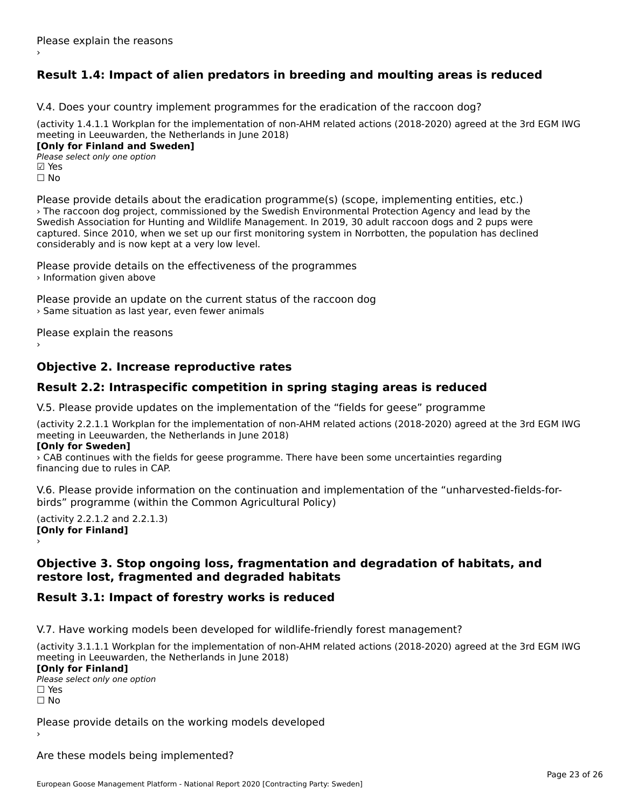### **Result 1.4: Impact of alien predators in breeding and moulting areas is reduced**

V.4. Does your country implement programmes for the eradication of the raccoon dog?

(activity 1.4.1.1 Workplan for the implementation of non-AHM related actions (2018-2020) agreed at the 3rd EGM IWG meeting in Leeuwarden, the Netherlands in June 2018) **[Only for Finland and Sweden]**

**Please select only one option** ☐ No

Please provide details about the eradication programme(s) (scope, implementing entities, etc.) › The raccoon dog project, commissioned by the Swedish Environmental Protection Agency and lead by the Swedish Association for Hunting and Wildlife Management. In 2019, 30 adult raccoon dogs and 2 pups were Swedish Association for Hunting and Whalle Management. In 2019, 30 addit raccoon dogs and 2 pups were<br>captured. Since 2010, when we set up our first monitoring system in Norrbotten, the population has declined considerably and is now kept at a very low level.

Please provide details on the effectiveness of the programmes › Information given above

Please provide an update on the current status of the raccoon dog › Same situation as last year, even fewer animals

Please explain the reasons

### **Objective 2. Increase reproductive rates**

### **Result 2.2: Intraspecific competition in spring staging areas is reduced**

V.5. Please provide updates on the implementation of the "fields for geese" programme

(activity 2.2.1.1 Workplan for the implementation of non-AHM related actions (2018-2020) agreed at the 3rd EGM IWG meeting in Leeuwarden, the Netherlands in June 2018)

#### **[Only for Sweden]**

› CAB continues with the fields for geese programme. There have been some uncertainties regarding financing due to rules in CAP.

V.6. Please provide information on the continuation and implementation of the "unharvested-fields-forbirds" programme (within the Common Agricultural Policy)

 $($ **[Only for Finland]** $\sim$   $\sim$   $\sim$   $\sim$   $\sim$   $\sim$   $\sim$   $\sim$ 

#### **Objective 3. Stop ongoing loss, fragmentation and degradation of habitats, and restore lost, fragmented and degraded habitats**restore lost, fragmented and degraded habitats

### **Result 3.1: Impact of forestry works is reduced**

V.7. Have working models been developed for wildlife-friendly forest management?

(activity 3.1.1.1 Workplan for the implementation of non-AHM related actions (2018-2020) agreed at the 3rd EGM IWG meeting in Leeuwarden, the Netherlands in June 2018) **[Only for Finland] Please select only one option** □ Yes<br>□ No

Please provide details on the working models developed

Are these models being implemented?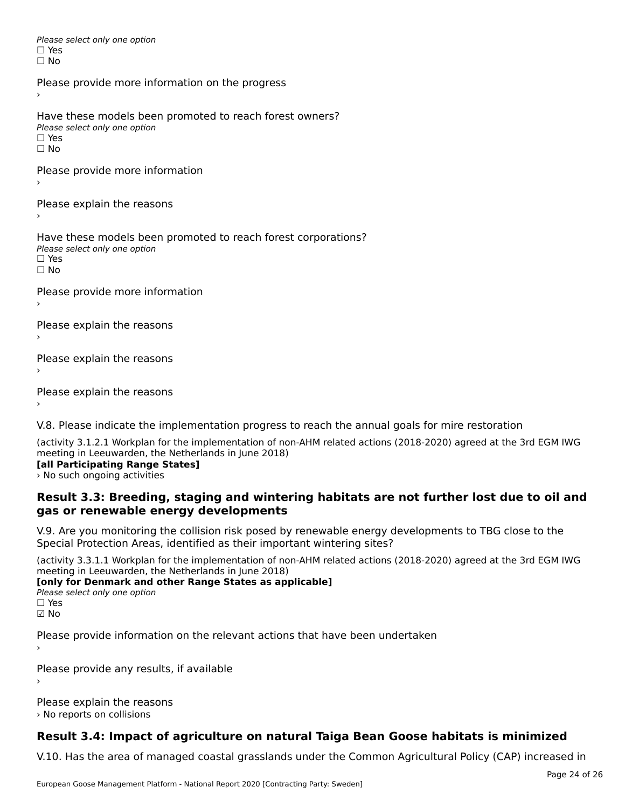Please select only one option □ Yes<br>□ No

Please provide more information on the progress

Have these models been promoted to reach forest owners? ∩ave these models bee<br>Please select only one option □ Yes<br>□ No

Please provide more information

Please explain the reasons ›

Have these models been promoted to reach forest corporations? ∩ave these models bee<br>Please select only one option □ Yes<br>□ No

Please provide more information

Please explain the reasons ›

Please explain the reasons›

Please explain the reasons

V.8. Please indicate the implementation progress to reach the annual goals for mire restoration

(activity 3.1.2.1 Workplan for the implementation of non-AHM related actions (2018-2020) agreed at the 3rd EGM IWG meeting in Leeuwarden, the Netherlands in June 2018) **[all Participating Range States]**

**Lan Farticipating Range .**<br>> No such ongoing activities

#### **Result 3.3: Breeding, staging and wintering habitats are not further lost due to oil and gas or renewable energy developments**gas or renewable energy developments

V.9. Are you monitoring the collision risk posed by renewable energy developments to TBG close to the Special Protection Areas, identified as their important wintering sites?

(activity 3.3.1.1 Workplan for the implementation of non-AHM related actions (2018-2020) agreed at the 3rd EGM IWG meeting in Leeuwarden, the Netherlands in June 2018)

**[only for Denmark and other Range States as applicable] Please select only one option** 

☑ No

Please provide information on the relevant actions that have been undertaken ›

Please provide any results, if available

Please explain the reasons › No reports on collisions

### **Result 3.4: Impact of agriculture on natural Taiga Bean Goose habitats is minimized**

V.10. Has the area of managed coastal grasslands under the Common Agricultural Policy (CAP) increased in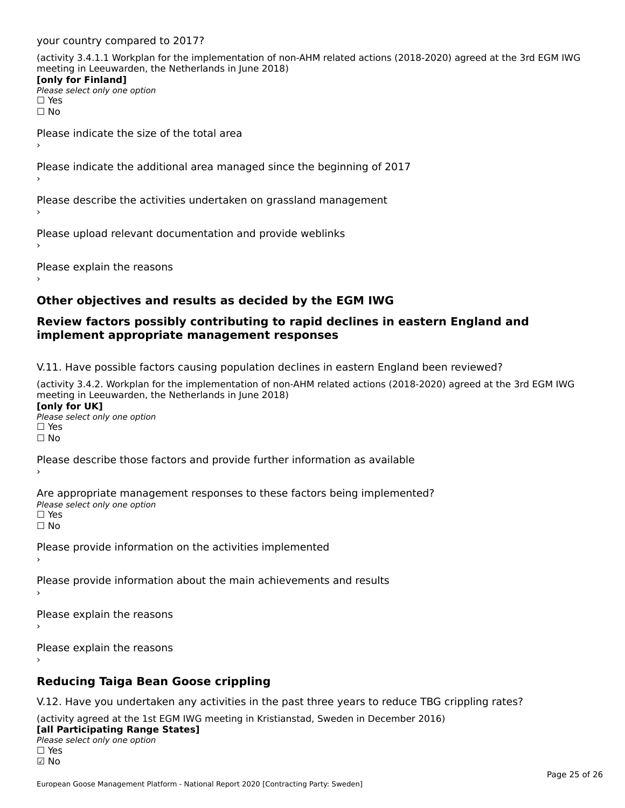your country compared to 2017?

(activity 3.4.1.1 Workplan for the implementation of non-AHM related actions (2018-2020) agreed at the 3rd EGM IWG meeting in Leeuwarden, the Netherlands in June 2018) **[only for Finland]**

[only for Finland] **□ Please select only one option**  $\square$  Yes ☐ No

Please indicate the size of the total area›

Please indicate the additional area managed since the beginning of 2017

Please describe the activities undertaken on grassland management

Please upload relevant documentation and provide weblinks

Please explain the reasons

### **Other objectives and results as decided by the EGM IWG**

#### **Review factors possibly contributing to rapid declines in eastern England and implement appropriate management responses**implement appropriate management responses

V.11. Have possible factors causing population declines in eastern England been reviewed?

(activity 3.4.2. Workplan for the implementation of non-AHM related actions (2018-2020) agreed at the 3rd EGM IWGmeeting in Leeuwarden, the Netherlands in June 2018) **[only for UK]**[only for UK]

**Please select only one option<br>Please select only one option** ים וכ<br>⊡ No

Please describe those factors and provide further information as available

Are appropriate management responses to these factors being implemented? ne appropriace manage.<br>Please select only one option □ Yes<br>□ No

Please provide information on the activities implemented

Please provide information about the main achievements and results

Please explain the reasons›

Please explain the reasons

### **Reducing Taiga Bean Goose crippling**

V.12. Have you undertaken any activities in the past three years to reduce TBG crippling rates?

(activity agreed at the 1st EGM IWG meeting in Kristianstad, Sweden in December 2016) **[all Participating Range States]**

#### [all Participating Range States]

**Lan T articipating Range**<br>Please select only one option ☑ No